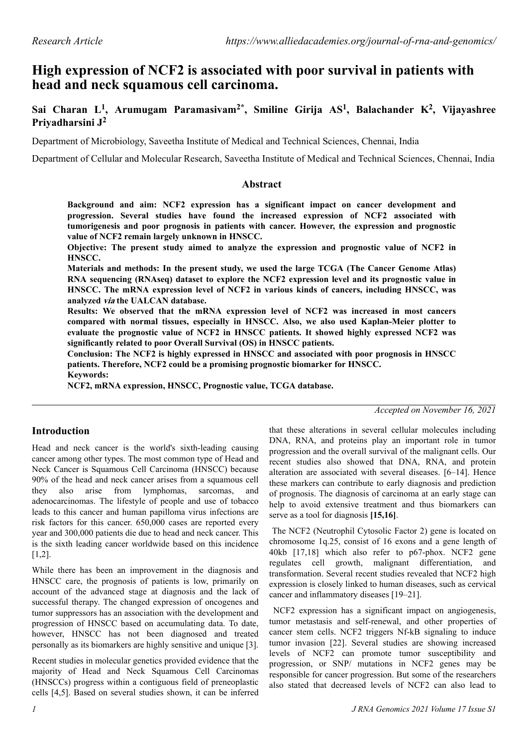# **High expression of NCF2 is associated with poor survival in patients with head and neck squamous cell carcinoma.**

**Sai Charan L<sup>1</sup> , Arumugam Paramasivam2\*, Smiline Girija AS<sup>1</sup> , Balachander K<sup>2</sup> , Vijayashree Priyadharsini J<sup>2</sup>**

Department of Microbiology, Saveetha Institute of Medical and Technical Sciences, Chennai, India

Department of Cellular and Molecular Research, Saveetha Institute of Medical and Technical Sciences, Chennai, India

#### **Abstract**

**Background and aim: NCF2 expression has a significant impact on cancer development and progression. Several studies have found the increased expression of NCF2 associated with tumorigenesis and poor prognosis in patients with cancer. However, the expression and prognostic value of NCF2 remain largely unknown in HNSCC.** 

**Objective: The present study aimed to analyze the expression and prognostic value of NCF2 in HNSCC.**

**Materials and methods: In the present study, we used the large TCGA (The Cancer Genome Atlas) RNA sequencing (RNAseq) dataset to explore the NCF2 expression level and its prognostic value in HNSCC. The mRNA expression level of NCF2 in various kinds of cancers, including HNSCC, was analyzed via the UALCAN database.**

**Results: We observed that the mRNA expression level of NCF2 was increased in most cancers compared with normal tissues, especially in HNSCC. Also, we also used Kaplan-Meier plotter to evaluate the prognostic value of NCF2 in HNSCC patients. It showed highly expressed NCF2 was significantly related to poor Overall Survival (OS) in HNSCC patients.**

**Conclusion: The NCF2 is highly expressed in HNSCC and associated with poor prognosis in HNSCC patients. Therefore, NCF2 could be a promising prognostic biomarker for HNSCC.**

**Keywords:**

**NCF2, mRNA expression, HNSCC, Prognostic value, TCGA database.**

*Accepted on November 16, 2021*

### **Introduction**

Head and neck cancer is the world's sixth-leading causing cancer among other types. The most common type of Head and Neck Cancer is Squamous Cell Carcinoma (HNSCC) because 90% of the head and neck cancer arises from a squamous cell they also arise from lymphomas, sarcomas, and adenocarcinomas. The lifestyle of people and use of tobacco leads to this cancer and human papilloma virus infections are risk factors for this cancer. 650,000 cases are reported every year and 300,000 patients die due to head and neck cancer. This is the sixth leading cancer worldwide based on this incidence [1,2].

While there has been an improvement in the diagnosis and HNSCC care, the prognosis of patients is low, primarily on account of the advanced stage at diagnosis and the lack of successful therapy. The changed expression of oncogenes and tumor suppressors has an association with the development and progression of HNSCC based on accumulating data. To date, however, HNSCC has not been diagnosed and treated personally as its biomarkers are highly sensitive and unique [3].

Recent studies in molecular genetics provided evidence that the majority of Head and Neck Squamous Cell Carcinomas (HNSCCs) progress within a contiguous field of preneoplastic cells [4,5]. Based on several studies shown, it can be inferred

that these alterations in several cellular molecules including DNA, RNA, and proteins play an important role in tumor progression and the overall survival of the malignant cells. Our recent studies also showed that DNA, RNA, and protein alteration are associated with several diseases. [6–14]. Hence these markers can contribute to early diagnosis and prediction of prognosis. The diagnosis of carcinoma at an early stage can help to avoid extensive treatment and thus biomarkers can serve as a tool for diagnosis **[15,16]**.

 The NCF2 (Neutrophil Cytosolic Factor 2) gene is located on chromosome 1q.25, consist of 16 exons and a gene length of 40kb [17,18] which also refer to p67-phox. NCF2 gene regulates cell growth, malignant differentiation, and transformation. Several recent studies revealed that NCF2 high expression is closely linked to human diseases, such as cervical cancer and inflammatory diseases [19–21].

 NCF2 expression has a significant impact on angiogenesis, tumor metastasis and self-renewal, and other properties of cancer stem cells. NCF2 triggers Nf-kB signaling to induce tumor invasion [22]. Several studies are showing increased levels of NCF2 can promote tumor susceptibility and progression, or SNP/ mutations in NCF2 genes may be responsible for cancer progression. But some of the researchers also stated that decreased levels of NCF2 can also lead to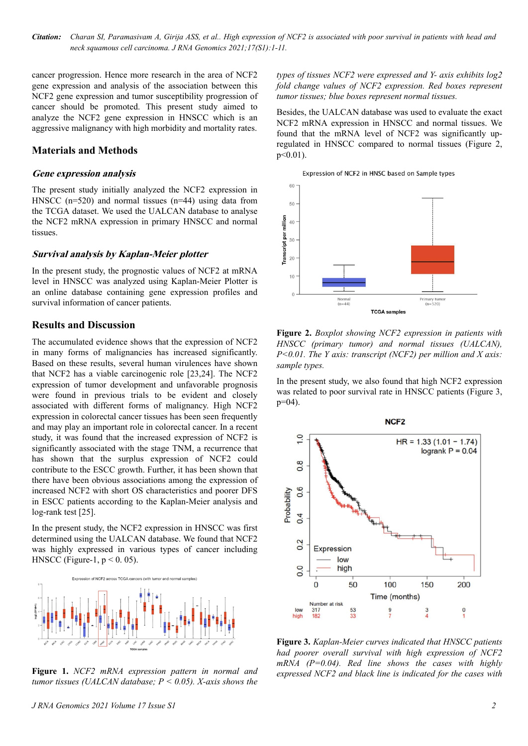*Citation: Charan SI, Paramasivam A, Girija ASS, et al.. High expression of NCF2 is associated with poor survival in patients with head and neck squamous cell carcinoma. J RNA Genomics 2021;17(S1):1-11.*

cancer progression. Hence more research in the area of NCF2 gene expression and analysis of the association between this NCF2 gene expression and tumor susceptibility progression of cancer should be promoted. This present study aimed to analyze the NCF2 gene expression in HNSCC which is an aggressive malignancy with high morbidity and mortality rates.

#### **Materials and Methods**

#### **Gene expression analysis**

The present study initially analyzed the NCF2 expression in HNSCC (n=520) and normal tissues (n=44) using data from the TCGA dataset. We used the UALCAN database to analyse the NCF2 mRNA expression in primary HNSCC and normal tissues.

#### **Survival analysis by Kaplan-Meier plotter**

In the present study, the prognostic values of NCF2 at mRNA level in HNSCC was analyzed using Kaplan-Meier Plotter is an online database containing gene expression profiles and survival information of cancer patients.

#### **Results and Discussion**

The accumulated evidence shows that the expression of NCF2 in many forms of malignancies has increased significantly. Based on these results, several human virulences have shown that NCF2 has a viable carcinogenic role [23,24]. The NCF2 expression of tumor development and unfavorable prognosis were found in previous trials to be evident and closely associated with different forms of malignancy. High NCF2 expression in colorectal cancer tissues has been seen frequently and may play an important role in colorectal cancer. In a recent study, it was found that the increased expression of NCF2 is significantly associated with the stage TNM, a recurrence that has shown that the surplus expression of NCF2 could contribute to the ESCC growth. Further, it has been shown that there have been obvious associations among the expression of increased NCF2 with short OS characteristics and poorer DFS in ESCC patients according to the Kaplan-Meier analysis and log-rank test [25].

In the present study, the NCF2 expression in HNSCC was first determined using the UALCAN database. We found that NCF2 was highly expressed in various types of cancer including HNSCC (Figure-1,  $p < 0.05$ ).



**Figure 1.** *NCF2 mRNA expression pattern in normal and tumor tissues (UALCAN database; P < 0.05). X-axis shows the*

*types of tissues NCF2 were expressed and Y- axis exhibits log2 fold change values of NCF2 expression. Red boxes represent tumor tissues; blue boxes represent normal tissues.*

Besides, the UALCAN database was used to evaluate the exact NCF2 mRNA expression in HNSCC and normal tissues. We found that the mRNA level of NCF2 was significantly upregulated in HNSCC compared to normal tissues (Figure 2,  $p<0.01$ ).

Expression of NCF2 in HNSC based on Sample types



**Figure 2.** *Boxplot showing NCF2 expression in patients with HNSCC (primary tumor) and normal tissues (UALCAN), P<0.01. The Y axis: transcript (NCF2) per million and X axis: sample types.*

In the present study, we also found that high NCF2 expression was related to poor survival rate in HNSCC patients (Figure 3, p=04).



**Figure 3.** *Kaplan-Meier curves indicated that HNSCC patients had poorer overall survival with high expression of NCF2 mRNA (P=0.04). Red line shows the cases with highly expressed NCF2 and black line is indicated for the cases with*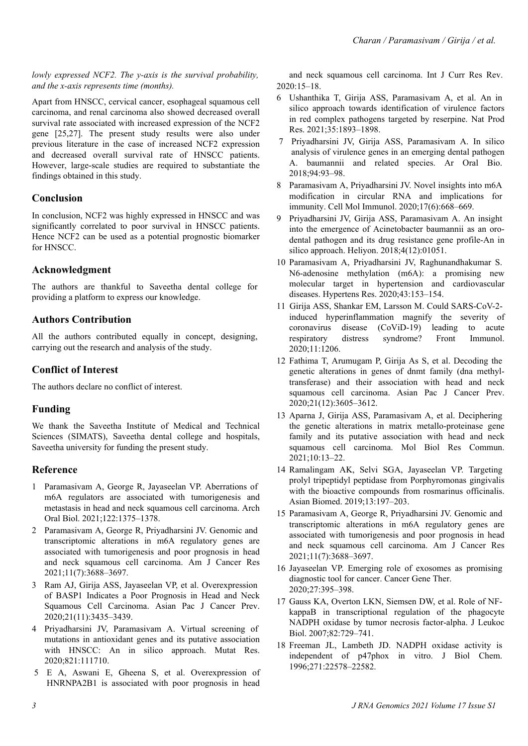#### *lowly expressed NCF2. The y-axis is the survival probability, and the x-axis represents time (months).*

Apart from HNSCC, cervical cancer, esophageal squamous cell carcinoma, and renal carcinoma also showed decreased overall survival rate associated with increased expression of the NCF2 gene [25,27]. The present study results were also under previous literature in the case of increased NCF2 expression and decreased overall survival rate of HNSCC patients. However, large-scale studies are required to substantiate the findings obtained in this study.

### **Conclusion**

In conclusion, NCF2 was highly expressed in HNSCC and was significantly correlated to poor survival in HNSCC patients. Hence NCF2 can be used as a potential prognostic biomarker for HNSCC.

### **Acknowledgment**

The authors are thankful to Saveetha dental college for providing a platform to express our knowledge.

## **Authors Contribution**

All the authors contributed equally in concept, designing, carrying out the research and analysis of the study.

### **Conflict of Interest**

The authors declare no conflict of interest.

### **Funding**

We thank the Saveetha Institute of Medical and Technical Sciences (SIMATS), Saveetha dental college and hospitals, Saveetha university for funding the present study.

### **Reference**

- 1 [Paramasivam A, George R, Jayaseelan VP. Aberrations of](https://www.sciencedirect.com/science/article/abs/pii/S0003996920304088?via%3Dihub) [m6A regulators are associated with tumorigenesis and](https://www.sciencedirect.com/science/article/abs/pii/S0003996920304088?via%3Dihub) [metastasis in head and neck squamous cell carcinoma. Arch](https://www.sciencedirect.com/science/article/abs/pii/S0003996920304088?via%3Dihub) [Oral Biol. 2021;122:1375–1378.](https://www.sciencedirect.com/science/article/abs/pii/S0003996920304088?via%3Dihub)
- 2 [Paramasivam A, George R, Priyadharsini JV. Genomic and](https://www.ncbi.nlm.nih.gov/pmc/articles/PMC8332867/pdf/ajcr0011-3688.pdf) [transcriptomic alterations in m6A regulatory genes are](https://www.ncbi.nlm.nih.gov/pmc/articles/PMC8332867/pdf/ajcr0011-3688.pdf) [associated with tumorigenesis and poor prognosis in head](https://www.ncbi.nlm.nih.gov/pmc/articles/PMC8332867/pdf/ajcr0011-3688.pdf) [and neck squamous cell carcinoma. Am J Cancer Res](https://www.ncbi.nlm.nih.gov/pmc/articles/PMC8332867/pdf/ajcr0011-3688.pdf) [2021;11\(7\):3688–3697.](https://www.ncbi.nlm.nih.gov/pmc/articles/PMC8332867/pdf/ajcr0011-3688.pdf)
- 3 [Ram AJ, Girija ASS, Jayaseelan VP, et al. Overexpression](http://journal.waocp.org/article_89369.html) [of BASP1 Indicates a Poor Prognosis in Head and Neck](http://journal.waocp.org/article_89369.html) [Squamous Cell Carcinoma. Asian Pac J Cancer Prev.](http://journal.waocp.org/article_89369.html) [2020;21\(11\):3435–3439.](http://journal.waocp.org/article_89369.html)
- 4 [Priyadharsini JV, Paramasivam A. Virtual screening of](https://www.sciencedirect.com/science/article/abs/pii/S0027510720300439?via%3Dihub) [mutations in antioxidant genes and its putative association](https://www.sciencedirect.com/science/article/abs/pii/S0027510720300439?via%3Dihub) [with HNSCC: An in silico approach. Mutat Res.](https://www.sciencedirect.com/science/article/abs/pii/S0027510720300439?via%3Dihub) [2020;821:111710.](https://www.sciencedirect.com/science/article/abs/pii/S0027510720300439?via%3Dihub)
- 5 [E A, Aswani E, Gheena S, et al. Overexpression of](https://ijcrr.com/uploads/3235_pdf.pdf) [HNRNPA2B1 is associated with poor prognosis in head](https://ijcrr.com/uploads/3235_pdf.pdf)

[and neck squamous cell carcinoma. Int J Curr Res Rev.](https://ijcrr.com/uploads/3235_pdf.pdf) [2020:15–18.](https://ijcrr.com/uploads/3235_pdf.pdf)

- 6 [Ushanthika T, Girija ASS, Paramasivam A, et al. An in](https://www.tandfonline.com/doi/abs/10.1080/14786419.2019.1641811?journalCode=gnpl20) [silico approach towards identification of virulence factors](https://www.tandfonline.com/doi/abs/10.1080/14786419.2019.1641811?journalCode=gnpl20) [in red complex pathogens targeted by reserpine. Nat Prod](https://www.tandfonline.com/doi/abs/10.1080/14786419.2019.1641811?journalCode=gnpl20) [Res. 2021;35:1893–1898.](https://www.tandfonline.com/doi/abs/10.1080/14786419.2019.1641811?journalCode=gnpl20)
- 7 [Priyadharsini JV, Girija ASS, Paramasivam A. In silico](https://www.sciencedirect.com/science/article/abs/pii/S0003996918302504?via%3Dihub) [analysis of virulence genes in an emerging dental pathogen](https://www.sciencedirect.com/science/article/abs/pii/S0003996918302504?via%3Dihub) A. [baumannii and related species. Ar Oral Bio.](https://www.sciencedirect.com/science/article/abs/pii/S0003996918302504?via%3Dihub) [2018;94:93–98.](https://www.sciencedirect.com/science/article/abs/pii/S0003996918302504?via%3Dihub)
- 8 [Paramasivam A, Priyadharsini JV. Novel insights into m6A](https://www.nature.com/articles/s41423-020-0387-x.pdf) [modification in circular RNA and implications for](https://www.nature.com/articles/s41423-020-0387-x.pdf) [immunity. Cell Mol Immunol. 2020;17\(6\):668–669.](https://www.nature.com/articles/s41423-020-0387-x.pdf)
- 9 [Priyadharsini JV, Girija ASS, Paramasivam A. An insight](https://www.cell.com/action/showPdf?pii=S2405-8440%2818%2935855-9) [into the emergence of Acinetobacter baumannii as an oro](https://www.cell.com/action/showPdf?pii=S2405-8440%2818%2935855-9)[dental pathogen and its drug resistance gene profile-An in](https://www.cell.com/action/showPdf?pii=S2405-8440%2818%2935855-9) [silico approach. Heliyon. 2018;4\(12\):01051.](https://www.cell.com/action/showPdf?pii=S2405-8440%2818%2935855-9)
- 10 [Paramasivam A, Priyadharsini JV, Raghunandhakumar S.](https://www.nature.com/articles/s41440-019-0338-z) [N6-adenosine methylation \(m6A\): a promising new](https://www.nature.com/articles/s41440-019-0338-z) [molecular target in hypertension and cardiovascular](https://www.nature.com/articles/s41440-019-0338-z) [diseases. Hypertens Res. 2020;43:153–154.](https://www.nature.com/articles/s41440-019-0338-z)
- 11 [Girija ASS, Shankar EM, Larsson M. Could SARS-CoV-2](https://www.frontiersin.org/articles/10.3389/fimmu.2020.01206/full) [induced hyperinflammation magnify the severity of](https://www.frontiersin.org/articles/10.3389/fimmu.2020.01206/full) [coronavirus disease \(CoViD-19\) leading to acute](https://www.frontiersin.org/articles/10.3389/fimmu.2020.01206/full) [respiratory distress syndrome? Front Immunol.](https://www.frontiersin.org/articles/10.3389/fimmu.2020.01206/full) [2020;11:1206.](https://www.frontiersin.org/articles/10.3389/fimmu.2020.01206/full)
- 12 [Fathima T, Arumugam P, Girija As S, et al. Decoding the](https://pubmed.ncbi.nlm.nih.gov/33369458/) [genetic alterations in genes of dnmt family \(dna methyl](https://pubmed.ncbi.nlm.nih.gov/33369458/)[transferase\) and their association with head and neck](https://pubmed.ncbi.nlm.nih.gov/33369458/) [squamous cell carcinoma. Asian Pac J Cancer Prev.](https://pubmed.ncbi.nlm.nih.gov/33369458/) [2020;21\(12\):3605–3612.](https://pubmed.ncbi.nlm.nih.gov/33369458/)
- 13 [Aparna J, Girija ASS, Paramasivam A, et al. Deciphering](https://mbrc.shirazu.ac.ir/article_5936_af378e326041907dde712a2e5764e4e7.pdf) [the genetic alterations in matrix metallo-proteinase gene](https://mbrc.shirazu.ac.ir/article_5936_af378e326041907dde712a2e5764e4e7.pdf) [family and its putative association with head and neck](https://mbrc.shirazu.ac.ir/article_5936_af378e326041907dde712a2e5764e4e7.pdf) [squamous cell carcinoma. Mol Biol Res Commun.](https://mbrc.shirazu.ac.ir/article_5936_af378e326041907dde712a2e5764e4e7.pdf) [2021;10:13–22.](https://mbrc.shirazu.ac.ir/article_5936_af378e326041907dde712a2e5764e4e7.pdf)
- 14 [Ramalingam AK, Selvi SGA, Jayaseelan VP. Targeting](https://sciendo.com/pdf/10.1515/abm-2019-0061) [prolyl tripeptidyl peptidase from Porphyromonas gingivalis](https://sciendo.com/pdf/10.1515/abm-2019-0061) [with the bioactive compounds from rosmarinus officinalis.](https://sciendo.com/pdf/10.1515/abm-2019-0061) [Asian Biomed. 2019;13:197–203.](https://sciendo.com/pdf/10.1515/abm-2019-0061)
- 15 [Paramasivam A, George R, Priyadharsini JV. Genomic and](https://www.ncbi.nlm.nih.gov/pmc/articles/PMC8332867/pdf/ajcr0011-3688.pdf) [transcriptomic alterations in m6A regulatory genes are](https://www.ncbi.nlm.nih.gov/pmc/articles/PMC8332867/pdf/ajcr0011-3688.pdf) [associated with tumorigenesis and poor prognosis in head](https://www.ncbi.nlm.nih.gov/pmc/articles/PMC8332867/pdf/ajcr0011-3688.pdf) [and neck squamous cell carcinoma. Am J Cancer Res](https://www.ncbi.nlm.nih.gov/pmc/articles/PMC8332867/pdf/ajcr0011-3688.pdf) [2021;11\(7\):3688–3697.](https://www.ncbi.nlm.nih.gov/pmc/articles/PMC8332867/pdf/ajcr0011-3688.pdf)
- 16 [Jayaseelan VP. Emerging role of exosomes as promising](https://www.nature.com/articles/s41417-019-0136-4) [diagnostic tool for cancer. Cancer Gene Ther.](https://www.nature.com/articles/s41417-019-0136-4) 2020;27:395–[398.](https://www.nature.com/articles/s41417-019-0136-4)
- 17 [Gauss KA, Overton LKN, Siemsen DW, et al. Role of NF](https://jlb.onlinelibrary.wiley.com/doi/full/10.1189/jlb.1206735)[kappaB in transcriptional regulation of the phagocyte](https://jlb.onlinelibrary.wiley.com/doi/full/10.1189/jlb.1206735) [NADPH oxidase by tumor necrosis factor-alpha. J Leukoc](https://jlb.onlinelibrary.wiley.com/doi/full/10.1189/jlb.1206735) [Biol. 2007;82:729–741.](https://jlb.onlinelibrary.wiley.com/doi/full/10.1189/jlb.1206735)
- 18 [Freeman JL, Lambeth JD. NADPH oxidase activity is](https://www.jbc.org/action/showPdf?pii=S0021-9258%2819%2961792-8) [independent of p47phox in vitro. J Biol Chem.](https://www.jbc.org/action/showPdf?pii=S0021-9258%2819%2961792-8) [1996;271:22578–22582.](https://www.jbc.org/action/showPdf?pii=S0021-9258%2819%2961792-8)